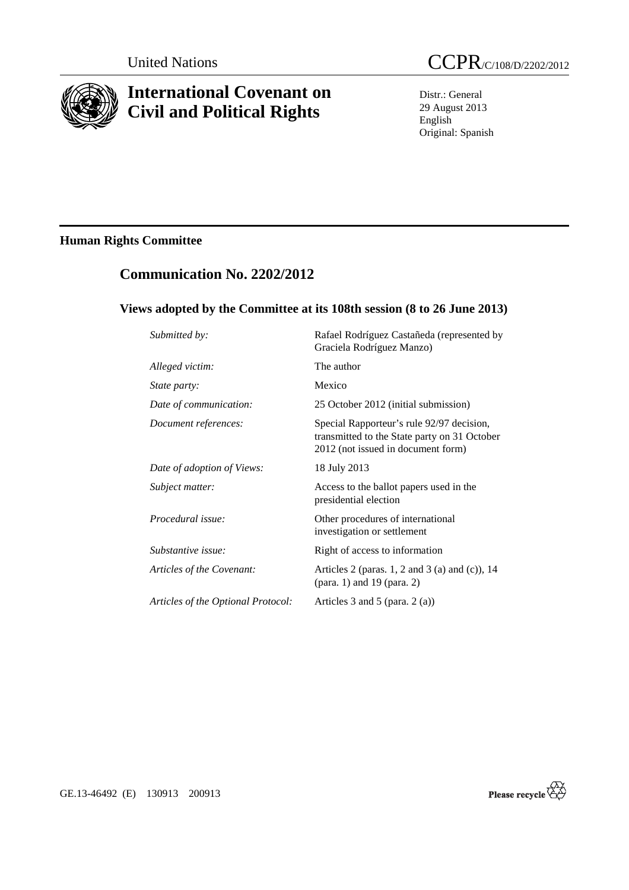

# **International Covenant on Civil and Political Rights**

Distr.: General 29 August 2013 English Original: Spanish

# **Human Rights Committee**

# **Communication No. 2202/2012**

## **Views adopted by the Committee at its 108th session (8 to 26 June 2013)**

| Submitted by:                      | Rafael Rodríguez Castañeda (represented by<br>Graciela Rodríguez Manzo)                                                         |
|------------------------------------|---------------------------------------------------------------------------------------------------------------------------------|
| Alleged victim:                    | The author                                                                                                                      |
| State party:                       | Mexico                                                                                                                          |
| Date of communication:             | 25 October 2012 (initial submission)                                                                                            |
| Document references:               | Special Rapporteur's rule 92/97 decision,<br>transmitted to the State party on 31 October<br>2012 (not issued in document form) |
| Date of adoption of Views:         | 18 July 2013                                                                                                                    |
| Subject matter:                    | Access to the ballot papers used in the<br>presidential election                                                                |
| Procedural issue:                  | Other procedures of international<br>investigation or settlement                                                                |
| Substantive issue:                 | Right of access to information                                                                                                  |
| Articles of the Covenant:          | Articles 2 (paras. 1, 2 and 3 (a) and (c)), $14$<br>(para. 1) and 19 (para. 2)                                                  |
| Articles of the Optional Protocol: | Articles 3 and 5 (para. $2(a)$ )                                                                                                |
|                                    |                                                                                                                                 |



GE.13-46492 (E) 130913 200913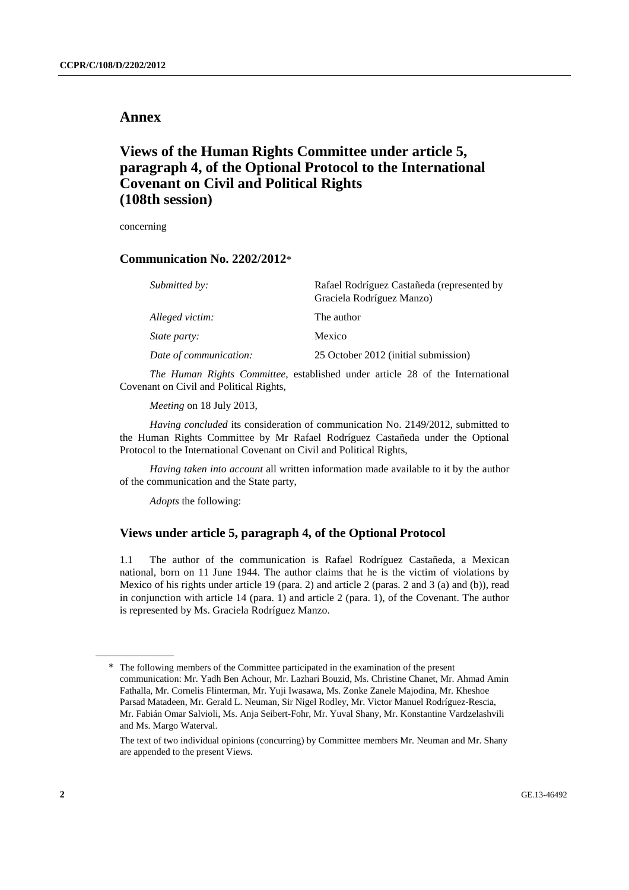## **Annex**

## **Views of the Human Rights Committee under article 5, paragraph 4, of the Optional Protocol to the International Covenant on Civil and Political Rights (108th session)**

concerning

### **Communication No. 2202/2012**\*

| Submitted by:          | Rafael Rodríguez Castañeda (represented by<br>Graciela Rodríguez Manzo) |
|------------------------|-------------------------------------------------------------------------|
| Alleged victim:        | The author                                                              |
| State party:           | Mexico                                                                  |
| Date of communication: | 25 October 2012 (initial submission)                                    |

*The Human Rights Committee*, established under article 28 of the International Covenant on Civil and Political Rights,

*Meeting* on 18 July 2013,

*Having concluded* its consideration of communication No. 2149/2012, submitted to the Human Rights Committee by Mr Rafael Rodríguez Castañeda under the Optional Protocol to the International Covenant on Civil and Political Rights,

*Having taken into account* all written information made available to it by the author of the communication and the State party,

*Adopts* the following:

### **Views under article 5, paragraph 4, of the Optional Protocol**

1.1 The author of the communication is Rafael Rodríguez Castañeda, a Mexican national, born on 11 June 1944. The author claims that he is the victim of violations by Mexico of his rights under article 19 (para. 2) and article 2 (paras. 2 and 3 (a) and (b)), read in conjunction with article 14 (para. 1) and article 2 (para. 1), of the Covenant. The author is represented by Ms. Graciela Rodríguez Manzo.

<sup>\*</sup> The following members of the Committee participated in the examination of the present communication: Mr. Yadh Ben Achour, Mr. Lazhari Bouzid, Ms. Christine Chanet, Mr. Ahmad Amin Fathalla, Mr. Cornelis Flinterman, Mr. Yuji Iwasawa, Ms. Zonke Zanele Majodina, Mr. Kheshoe Parsad Matadeen, Mr. Gerald L. Neuman, Sir Nigel Rodley, Mr. Victor Manuel Rodríguez-Rescia, Mr. Fabián Omar Salvioli, Ms. Anja Seibert-Fohr, Mr. Yuval Shany, Mr. Konstantine Vardzelashvili and Ms. Margo Waterval.

The text of two individual opinions (concurring) by Committee members Mr. Neuman and Mr. Shany are appended to the present Views.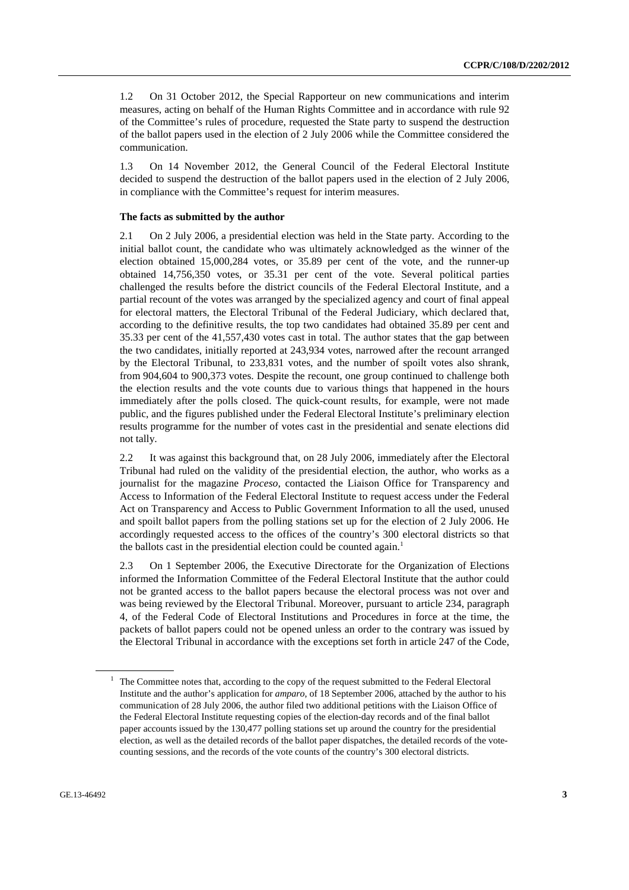1.2 On 31 October 2012, the Special Rapporteur on new communications and interim measures, acting on behalf of the Human Rights Committee and in accordance with rule 92 of the Committee's rules of procedure, requested the State party to suspend the destruction of the ballot papers used in the election of 2 July 2006 while the Committee considered the communication.

1.3 On 14 November 2012, the General Council of the Federal Electoral Institute decided to suspend the destruction of the ballot papers used in the election of 2 July 2006, in compliance with the Committee's request for interim measures.

#### **The facts as submitted by the author**

2.1 On 2 July 2006, a presidential election was held in the State party. According to the initial ballot count, the candidate who was ultimately acknowledged as the winner of the election obtained 15,000,284 votes, or 35.89 per cent of the vote, and the runner-up obtained 14,756,350 votes, or 35.31 per cent of the vote. Several political parties challenged the results before the district councils of the Federal Electoral Institute, and a partial recount of the votes was arranged by the specialized agency and court of final appeal for electoral matters, the Electoral Tribunal of the Federal Judiciary, which declared that, according to the definitive results, the top two candidates had obtained 35.89 per cent and 35.33 per cent of the 41,557,430 votes cast in total. The author states that the gap between the two candidates, initially reported at 243,934 votes, narrowed after the recount arranged by the Electoral Tribunal, to 233,831 votes, and the number of spoilt votes also shrank, from 904,604 to 900,373 votes. Despite the recount, one group continued to challenge both the election results and the vote counts due to various things that happened in the hours immediately after the polls closed. The quick-count results, for example, were not made public, and the figures published under the Federal Electoral Institute's preliminary election results programme for the number of votes cast in the presidential and senate elections did not tally.

2.2 It was against this background that, on 28 July 2006, immediately after the Electoral Tribunal had ruled on the validity of the presidential election, the author, who works as a journalist for the magazine *Proceso*, contacted the Liaison Office for Transparency and Access to Information of the Federal Electoral Institute to request access under the Federal Act on Transparency and Access to Public Government Information to all the used, unused and spoilt ballot papers from the polling stations set up for the election of 2 July 2006. He accordingly requested access to the offices of the country's 300 electoral districts so that the ballots cast in the presidential election could be counted again.<sup>1</sup>

2.3 On 1 September 2006, the Executive Directorate for the Organization of Elections informed the Information Committee of the Federal Electoral Institute that the author could not be granted access to the ballot papers because the electoral process was not over and was being reviewed by the Electoral Tribunal. Moreover, pursuant to article 234, paragraph 4, of the Federal Code of Electoral Institutions and Procedures in force at the time, the packets of ballot papers could not be opened unless an order to the contrary was issued by the Electoral Tribunal in accordance with the exceptions set forth in article 247 of the Code,

<sup>1</sup> The Committee notes that, according to the copy of the request submitted to the Federal Electoral Institute and the author's application for *amparo*, of 18 September 2006, attached by the author to his communication of 28 July 2006, the author filed two additional petitions with the Liaison Office of the Federal Electoral Institute requesting copies of the election-day records and of the final ballot paper accounts issued by the 130,477 polling stations set up around the country for the presidential election, as well as the detailed records of the ballot paper dispatches, the detailed records of the votecounting sessions, and the records of the vote counts of the country's 300 electoral districts.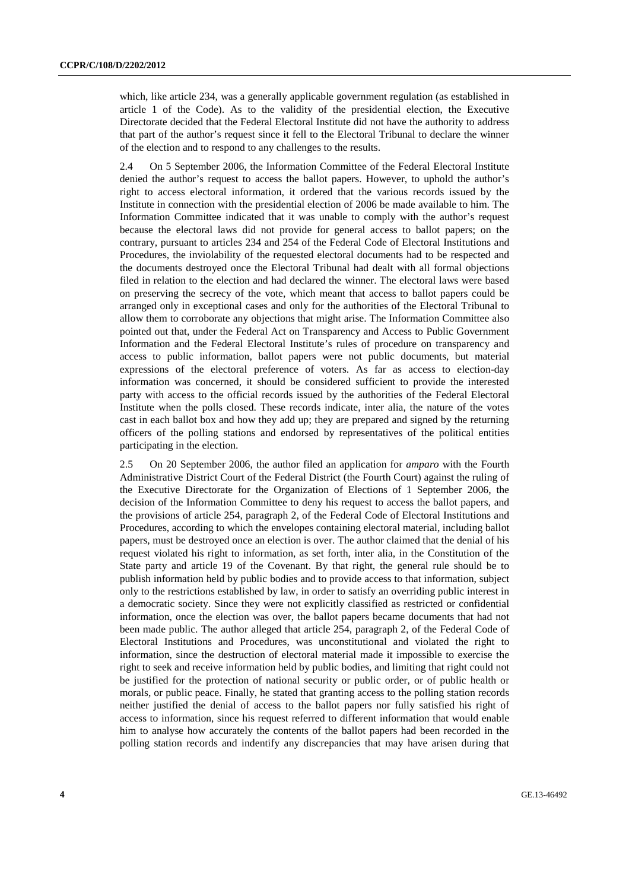which, like article 234, was a generally applicable government regulation (as established in article 1 of the Code). As to the validity of the presidential election, the Executive Directorate decided that the Federal Electoral Institute did not have the authority to address that part of the author's request since it fell to the Electoral Tribunal to declare the winner of the election and to respond to any challenges to the results.

2.4 On 5 September 2006, the Information Committee of the Federal Electoral Institute denied the author's request to access the ballot papers. However, to uphold the author's right to access electoral information, it ordered that the various records issued by the Institute in connection with the presidential election of 2006 be made available to him. The Information Committee indicated that it was unable to comply with the author's request because the electoral laws did not provide for general access to ballot papers; on the contrary, pursuant to articles 234 and 254 of the Federal Code of Electoral Institutions and Procedures, the inviolability of the requested electoral documents had to be respected and the documents destroyed once the Electoral Tribunal had dealt with all formal objections filed in relation to the election and had declared the winner. The electoral laws were based on preserving the secrecy of the vote, which meant that access to ballot papers could be arranged only in exceptional cases and only for the authorities of the Electoral Tribunal to allow them to corroborate any objections that might arise. The Information Committee also pointed out that, under the Federal Act on Transparency and Access to Public Government Information and the Federal Electoral Institute's rules of procedure on transparency and access to public information, ballot papers were not public documents, but material expressions of the electoral preference of voters. As far as access to election-day information was concerned, it should be considered sufficient to provide the interested party with access to the official records issued by the authorities of the Federal Electoral Institute when the polls closed. These records indicate, inter alia, the nature of the votes cast in each ballot box and how they add up; they are prepared and signed by the returning officers of the polling stations and endorsed by representatives of the political entities participating in the election.

2.5 On 20 September 2006, the author filed an application for *amparo* with the Fourth Administrative District Court of the Federal District (the Fourth Court) against the ruling of the Executive Directorate for the Organization of Elections of 1 September 2006, the decision of the Information Committee to deny his request to access the ballot papers, and the provisions of article 254, paragraph 2, of the Federal Code of Electoral Institutions and Procedures, according to which the envelopes containing electoral material, including ballot papers, must be destroyed once an election is over. The author claimed that the denial of his request violated his right to information, as set forth, inter alia, in the Constitution of the State party and article 19 of the Covenant. By that right, the general rule should be to publish information held by public bodies and to provide access to that information, subject only to the restrictions established by law, in order to satisfy an overriding public interest in a democratic society. Since they were not explicitly classified as restricted or confidential information, once the election was over, the ballot papers became documents that had not been made public. The author alleged that article 254, paragraph 2, of the Federal Code of Electoral Institutions and Procedures, was unconstitutional and violated the right to information, since the destruction of electoral material made it impossible to exercise the right to seek and receive information held by public bodies, and limiting that right could not be justified for the protection of national security or public order, or of public health or morals, or public peace. Finally, he stated that granting access to the polling station records neither justified the denial of access to the ballot papers nor fully satisfied his right of access to information, since his request referred to different information that would enable him to analyse how accurately the contents of the ballot papers had been recorded in the polling station records and indentify any discrepancies that may have arisen during that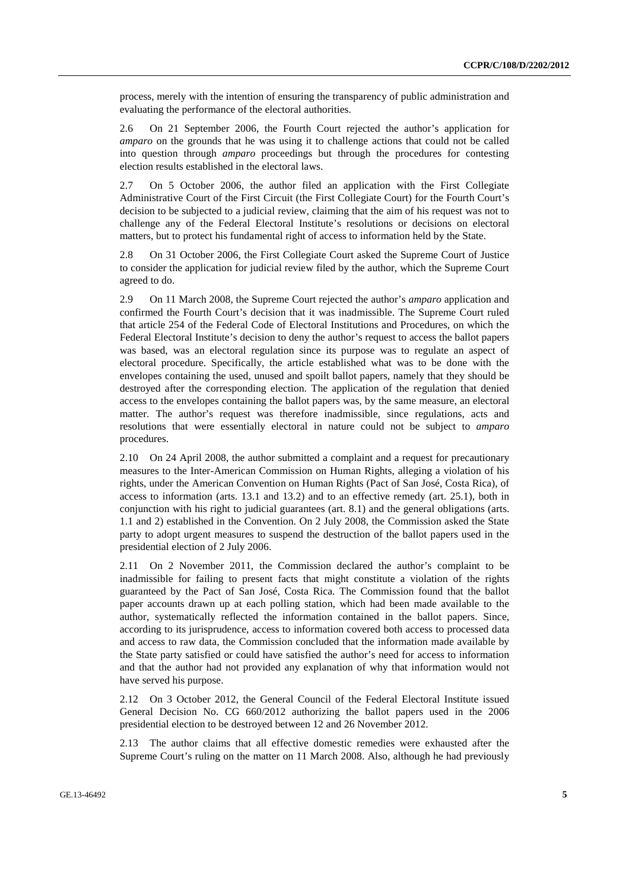process, merely with the intention of ensuring the transparency of public administration and evaluating the performance of the electoral authorities.

2.6 On 21 September 2006, the Fourth Court rejected the author's application for *amparo* on the grounds that he was using it to challenge actions that could not be called into question through *amparo* proceedings but through the procedures for contesting election results established in the electoral laws.

2.7 On 5 October 2006, the author filed an application with the First Collegiate Administrative Court of the First Circuit (the First Collegiate Court) for the Fourth Court's decision to be subjected to a judicial review, claiming that the aim of his request was not to challenge any of the Federal Electoral Institute's resolutions or decisions on electoral matters, but to protect his fundamental right of access to information held by the State.

2.8 On 31 October 2006, the First Collegiate Court asked the Supreme Court of Justice to consider the application for judicial review filed by the author, which the Supreme Court agreed to do.

2.9 On 11 March 2008, the Supreme Court rejected the author's *amparo* application and confirmed the Fourth Court's decision that it was inadmissible. The Supreme Court ruled that article 254 of the Federal Code of Electoral Institutions and Procedures, on which the Federal Electoral Institute's decision to deny the author's request to access the ballot papers was based, was an electoral regulation since its purpose was to regulate an aspect of electoral procedure. Specifically, the article established what was to be done with the envelopes containing the used, unused and spoilt ballot papers, namely that they should be destroyed after the corresponding election. The application of the regulation that denied access to the envelopes containing the ballot papers was, by the same measure, an electoral matter. The author's request was therefore inadmissible, since regulations, acts and resolutions that were essentially electoral in nature could not be subject to *amparo* procedures.

2.10 On 24 April 2008, the author submitted a complaint and a request for precautionary measures to the Inter-American Commission on Human Rights, alleging a violation of his rights, under the American Convention on Human Rights (Pact of San José, Costa Rica), of access to information (arts. 13.1 and 13.2) and to an effective remedy (art. 25.1), both in conjunction with his right to judicial guarantees (art. 8.1) and the general obligations (arts. 1.1 and 2) established in the Convention. On 2 July 2008, the Commission asked the State party to adopt urgent measures to suspend the destruction of the ballot papers used in the presidential election of 2 July 2006.

2.11 On 2 November 2011, the Commission declared the author's complaint to be inadmissible for failing to present facts that might constitute a violation of the rights guaranteed by the Pact of San José, Costa Rica. The Commission found that the ballot paper accounts drawn up at each polling station, which had been made available to the author, systematically reflected the information contained in the ballot papers. Since, according to its jurisprudence, access to information covered both access to processed data and access to raw data, the Commission concluded that the information made available by the State party satisfied or could have satisfied the author's need for access to information and that the author had not provided any explanation of why that information would not have served his purpose.

2.12 On 3 October 2012, the General Council of the Federal Electoral Institute issued General Decision No. CG 660/2012 authorizing the ballot papers used in the 2006 presidential election to be destroyed between 12 and 26 November 2012.

2.13 The author claims that all effective domestic remedies were exhausted after the Supreme Court's ruling on the matter on 11 March 2008. Also, although he had previously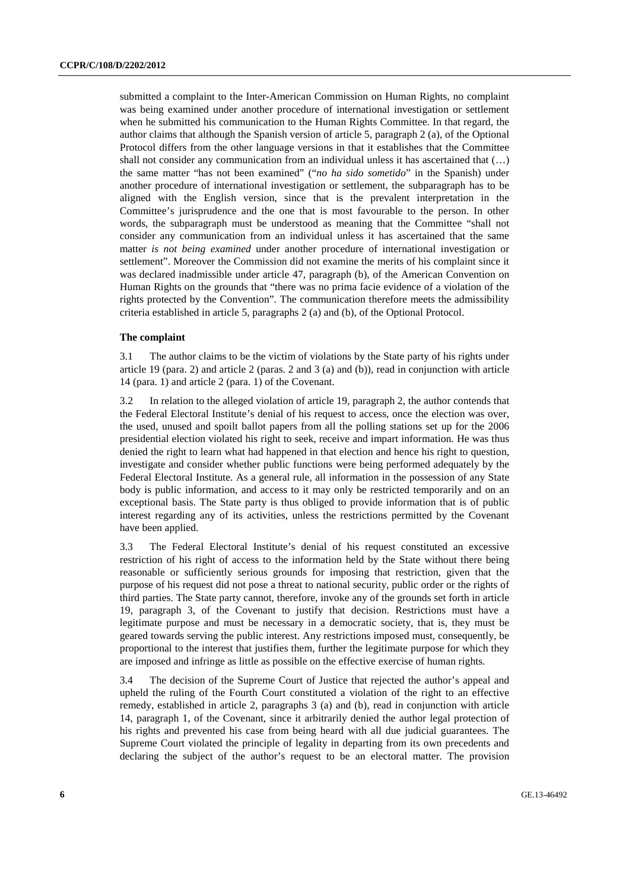submitted a complaint to the Inter-American Commission on Human Rights, no complaint was being examined under another procedure of international investigation or settlement when he submitted his communication to the Human Rights Committee. In that regard, the author claims that although the Spanish version of article 5, paragraph 2 (a), of the Optional Protocol differs from the other language versions in that it establishes that the Committee shall not consider any communication from an individual unless it has ascertained that  $(\ldots)$ the same matter "has not been examined" ("*no ha sido sometido*" in the Spanish) under another procedure of international investigation or settlement, the subparagraph has to be aligned with the English version, since that is the prevalent interpretation in the Committee's jurisprudence and the one that is most favourable to the person. In other words, the subparagraph must be understood as meaning that the Committee "shall not consider any communication from an individual unless it has ascertained that the same matter *is not being examined* under another procedure of international investigation or settlement". Moreover the Commission did not examine the merits of his complaint since it was declared inadmissible under article 47, paragraph (b), of the American Convention on Human Rights on the grounds that "there was no prima facie evidence of a violation of the rights protected by the Convention". The communication therefore meets the admissibility criteria established in article 5, paragraphs 2 (a) and (b), of the Optional Protocol.

#### **The complaint**

3.1 The author claims to be the victim of violations by the State party of his rights under article 19 (para. 2) and article 2 (paras. 2 and 3 (a) and (b)), read in conjunction with article 14 (para. 1) and article 2 (para. 1) of the Covenant.

3.2 In relation to the alleged violation of article 19, paragraph 2, the author contends that the Federal Electoral Institute's denial of his request to access, once the election was over, the used, unused and spoilt ballot papers from all the polling stations set up for the 2006 presidential election violated his right to seek, receive and impart information. He was thus denied the right to learn what had happened in that election and hence his right to question, investigate and consider whether public functions were being performed adequately by the Federal Electoral Institute. As a general rule, all information in the possession of any State body is public information, and access to it may only be restricted temporarily and on an exceptional basis. The State party is thus obliged to provide information that is of public interest regarding any of its activities, unless the restrictions permitted by the Covenant have been applied.

3.3 The Federal Electoral Institute's denial of his request constituted an excessive restriction of his right of access to the information held by the State without there being reasonable or sufficiently serious grounds for imposing that restriction, given that the purpose of his request did not pose a threat to national security, public order or the rights of third parties. The State party cannot, therefore, invoke any of the grounds set forth in article 19, paragraph 3, of the Covenant to justify that decision. Restrictions must have a legitimate purpose and must be necessary in a democratic society, that is, they must be geared towards serving the public interest. Any restrictions imposed must, consequently, be proportional to the interest that justifies them, further the legitimate purpose for which they are imposed and infringe as little as possible on the effective exercise of human rights.

3.4 The decision of the Supreme Court of Justice that rejected the author's appeal and upheld the ruling of the Fourth Court constituted a violation of the right to an effective remedy, established in article 2, paragraphs 3 (a) and (b), read in conjunction with article 14, paragraph 1, of the Covenant, since it arbitrarily denied the author legal protection of his rights and prevented his case from being heard with all due judicial guarantees. The Supreme Court violated the principle of legality in departing from its own precedents and declaring the subject of the author's request to be an electoral matter. The provision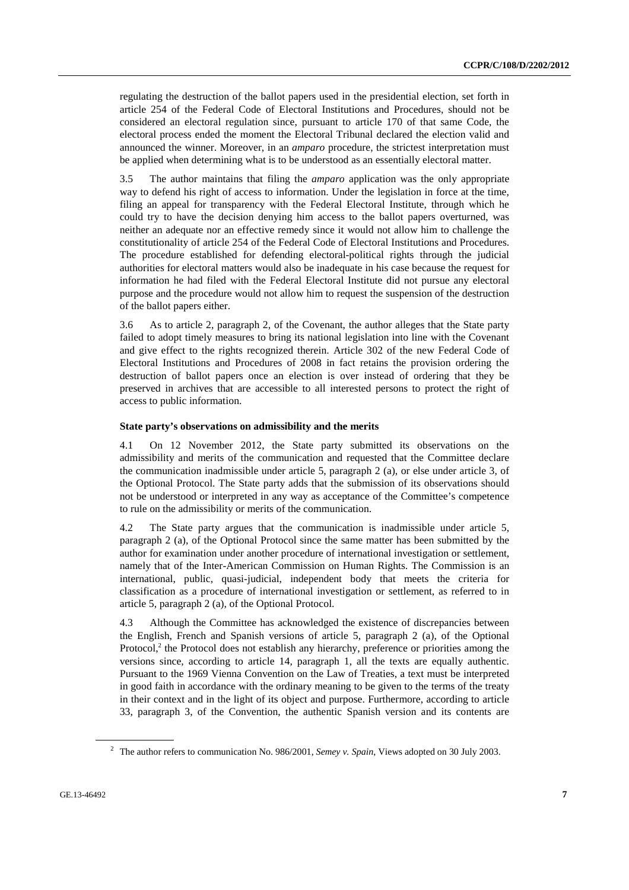regulating the destruction of the ballot papers used in the presidential election, set forth in article 254 of the Federal Code of Electoral Institutions and Procedures, should not be considered an electoral regulation since, pursuant to article 170 of that same Code, the electoral process ended the moment the Electoral Tribunal declared the election valid and announced the winner. Moreover, in an *amparo* procedure, the strictest interpretation must be applied when determining what is to be understood as an essentially electoral matter.

3.5 The author maintains that filing the *amparo* application was the only appropriate way to defend his right of access to information. Under the legislation in force at the time, filing an appeal for transparency with the Federal Electoral Institute, through which he could try to have the decision denying him access to the ballot papers overturned, was neither an adequate nor an effective remedy since it would not allow him to challenge the constitutionality of article 254 of the Federal Code of Electoral Institutions and Procedures. The procedure established for defending electoral-political rights through the judicial authorities for electoral matters would also be inadequate in his case because the request for information he had filed with the Federal Electoral Institute did not pursue any electoral purpose and the procedure would not allow him to request the suspension of the destruction of the ballot papers either.

3.6 As to article 2, paragraph 2, of the Covenant, the author alleges that the State party failed to adopt timely measures to bring its national legislation into line with the Covenant and give effect to the rights recognized therein. Article 302 of the new Federal Code of Electoral Institutions and Procedures of 2008 in fact retains the provision ordering the destruction of ballot papers once an election is over instead of ordering that they be preserved in archives that are accessible to all interested persons to protect the right of access to public information.

#### **State party's observations on admissibility and the merits**

4.1 On 12 November 2012, the State party submitted its observations on the admissibility and merits of the communication and requested that the Committee declare the communication inadmissible under article 5, paragraph 2 (a), or else under article 3, of the Optional Protocol. The State party adds that the submission of its observations should not be understood or interpreted in any way as acceptance of the Committee's competence to rule on the admissibility or merits of the communication.

4.2 The State party argues that the communication is inadmissible under article 5, paragraph 2 (a), of the Optional Protocol since the same matter has been submitted by the author for examination under another procedure of international investigation or settlement, namely that of the Inter-American Commission on Human Rights. The Commission is an international, public, quasi-judicial, independent body that meets the criteria for classification as a procedure of international investigation or settlement, as referred to in article 5, paragraph 2 (a), of the Optional Protocol.

4.3 Although the Committee has acknowledged the existence of discrepancies between the English, French and Spanish versions of article 5, paragraph 2 (a), of the Optional Protocol,<sup>2</sup> the Protocol does not establish any hierarchy, preference or priorities among the versions since, according to article 14, paragraph 1, all the texts are equally authentic. Pursuant to the 1969 Vienna Convention on the Law of Treaties, a text must be interpreted in good faith in accordance with the ordinary meaning to be given to the terms of the treaty in their context and in the light of its object and purpose. Furthermore, according to article 33, paragraph 3, of the Convention, the authentic Spanish version and its contents are

<sup>2</sup> The author refers to communication No. 986/2001, *Semey v. Spain*, Views adopted on 30 July 2003.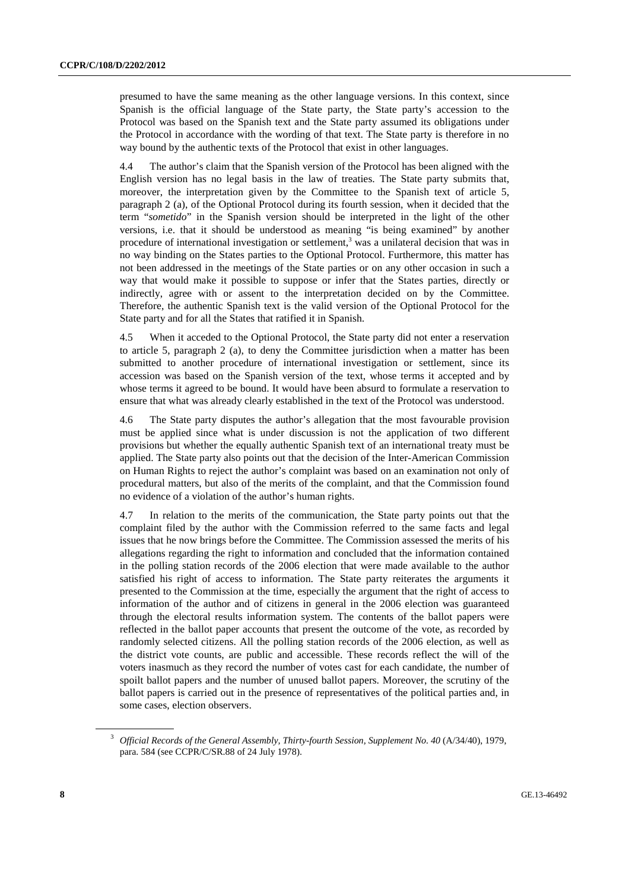presumed to have the same meaning as the other language versions. In this context, since Spanish is the official language of the State party, the State party's accession to the Protocol was based on the Spanish text and the State party assumed its obligations under the Protocol in accordance with the wording of that text. The State party is therefore in no way bound by the authentic texts of the Protocol that exist in other languages.

4.4 The author's claim that the Spanish version of the Protocol has been aligned with the English version has no legal basis in the law of treaties. The State party submits that, moreover, the interpretation given by the Committee to the Spanish text of article 5, paragraph 2 (a), of the Optional Protocol during its fourth session, when it decided that the term "*sometido*" in the Spanish version should be interpreted in the light of the other versions, i.e. that it should be understood as meaning "is being examined" by another procedure of international investigation or settlement,<sup>3</sup> was a unilateral decision that was in no way binding on the States parties to the Optional Protocol. Furthermore, this matter has not been addressed in the meetings of the State parties or on any other occasion in such a way that would make it possible to suppose or infer that the States parties, directly or indirectly, agree with or assent to the interpretation decided on by the Committee. Therefore, the authentic Spanish text is the valid version of the Optional Protocol for the State party and for all the States that ratified it in Spanish.

4.5 When it acceded to the Optional Protocol, the State party did not enter a reservation to article 5, paragraph 2 (a), to deny the Committee jurisdiction when a matter has been submitted to another procedure of international investigation or settlement, since its accession was based on the Spanish version of the text, whose terms it accepted and by whose terms it agreed to be bound. It would have been absurd to formulate a reservation to ensure that what was already clearly established in the text of the Protocol was understood.

4.6 The State party disputes the author's allegation that the most favourable provision must be applied since what is under discussion is not the application of two different provisions but whether the equally authentic Spanish text of an international treaty must be applied. The State party also points out that the decision of the Inter-American Commission on Human Rights to reject the author's complaint was based on an examination not only of procedural matters, but also of the merits of the complaint, and that the Commission found no evidence of a violation of the author's human rights.

4.7 In relation to the merits of the communication, the State party points out that the complaint filed by the author with the Commission referred to the same facts and legal issues that he now brings before the Committee. The Commission assessed the merits of his allegations regarding the right to information and concluded that the information contained in the polling station records of the 2006 election that were made available to the author satisfied his right of access to information. The State party reiterates the arguments it presented to the Commission at the time, especially the argument that the right of access to information of the author and of citizens in general in the 2006 election was guaranteed through the electoral results information system. The contents of the ballot papers were reflected in the ballot paper accounts that present the outcome of the vote, as recorded by randomly selected citizens. All the polling station records of the 2006 election, as well as the district vote counts, are public and accessible. These records reflect the will of the voters inasmuch as they record the number of votes cast for each candidate, the number of spoilt ballot papers and the number of unused ballot papers. Moreover, the scrutiny of the ballot papers is carried out in the presence of representatives of the political parties and, in some cases, election observers.

<sup>&</sup>lt;sup>3</sup> Official Records of the General Assembly, Thirty-fourth Session, Supplement No. 40 (A/34/40), 1979, para. 584 (see CCPR/C/SR.88 of 24 July 1978).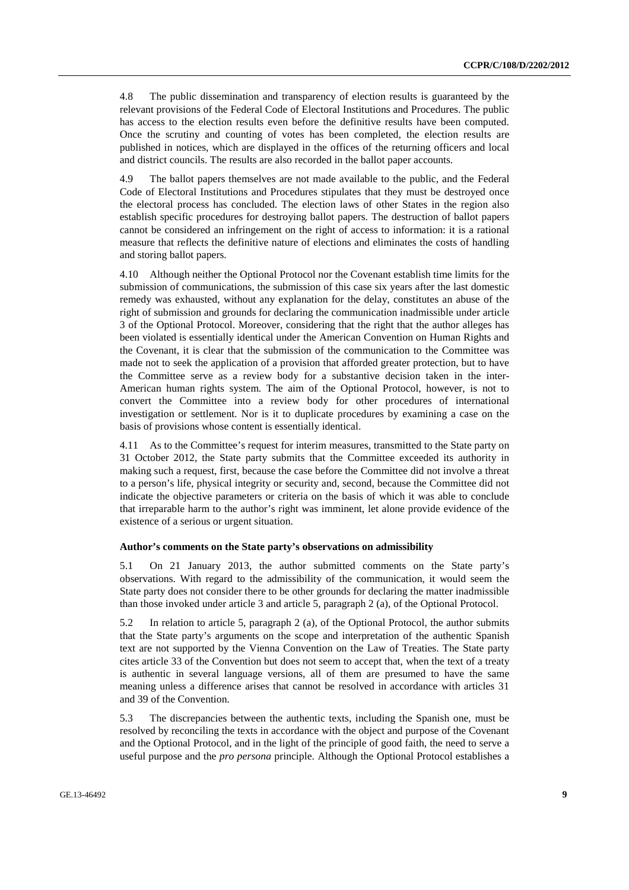4.8 The public dissemination and transparency of election results is guaranteed by the relevant provisions of the Federal Code of Electoral Institutions and Procedures. The public has access to the election results even before the definitive results have been computed. Once the scrutiny and counting of votes has been completed, the election results are published in notices, which are displayed in the offices of the returning officers and local and district councils. The results are also recorded in the ballot paper accounts.

4.9 The ballot papers themselves are not made available to the public, and the Federal Code of Electoral Institutions and Procedures stipulates that they must be destroyed once the electoral process has concluded. The election laws of other States in the region also establish specific procedures for destroying ballot papers. The destruction of ballot papers cannot be considered an infringement on the right of access to information: it is a rational measure that reflects the definitive nature of elections and eliminates the costs of handling and storing ballot papers.

4.10 Although neither the Optional Protocol nor the Covenant establish time limits for the submission of communications, the submission of this case six years after the last domestic remedy was exhausted, without any explanation for the delay, constitutes an abuse of the right of submission and grounds for declaring the communication inadmissible under article 3 of the Optional Protocol. Moreover, considering that the right that the author alleges has been violated is essentially identical under the American Convention on Human Rights and the Covenant, it is clear that the submission of the communication to the Committee was made not to seek the application of a provision that afforded greater protection, but to have the Committee serve as a review body for a substantive decision taken in the inter-American human rights system. The aim of the Optional Protocol, however, is not to convert the Committee into a review body for other procedures of international investigation or settlement. Nor is it to duplicate procedures by examining a case on the basis of provisions whose content is essentially identical.

4.11 As to the Committee's request for interim measures, transmitted to the State party on 31 October 2012, the State party submits that the Committee exceeded its authority in making such a request, first, because the case before the Committee did not involve a threat to a person's life, physical integrity or security and, second, because the Committee did not indicate the objective parameters or criteria on the basis of which it was able to conclude that irreparable harm to the author's right was imminent, let alone provide evidence of the existence of a serious or urgent situation.

#### **Author's comments on the State party's observations on admissibility**

5.1 On 21 January 2013, the author submitted comments on the State party's observations. With regard to the admissibility of the communication, it would seem the State party does not consider there to be other grounds for declaring the matter inadmissible than those invoked under article 3 and article 5, paragraph 2 (a), of the Optional Protocol.

5.2 In relation to article 5, paragraph 2 (a), of the Optional Protocol, the author submits that the State party's arguments on the scope and interpretation of the authentic Spanish text are not supported by the Vienna Convention on the Law of Treaties. The State party cites article 33 of the Convention but does not seem to accept that, when the text of a treaty is authentic in several language versions, all of them are presumed to have the same meaning unless a difference arises that cannot be resolved in accordance with articles 31 and 39 of the Convention.

5.3 The discrepancies between the authentic texts, including the Spanish one, must be resolved by reconciling the texts in accordance with the object and purpose of the Covenant and the Optional Protocol, and in the light of the principle of good faith, the need to serve a useful purpose and the *pro persona* principle. Although the Optional Protocol establishes a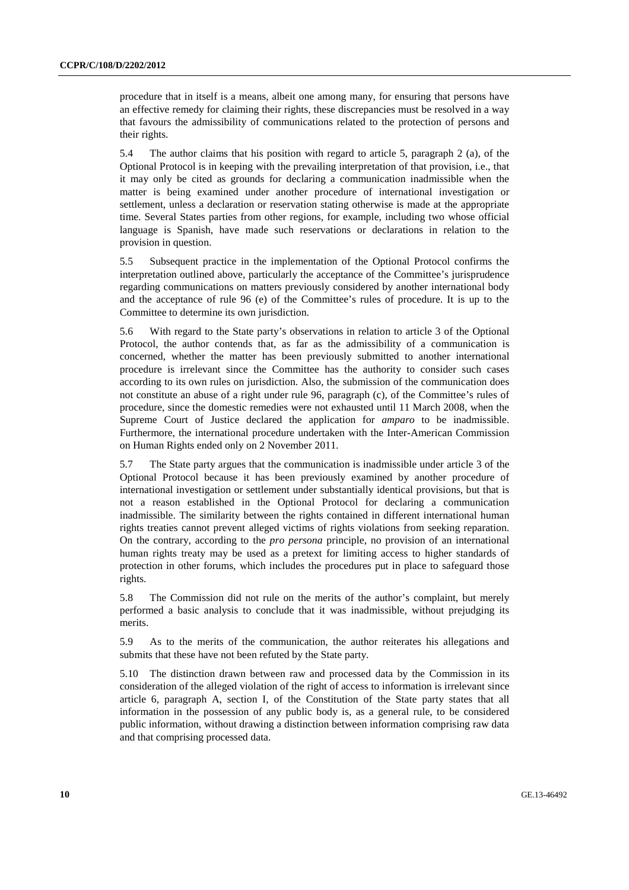procedure that in itself is a means, albeit one among many, for ensuring that persons have an effective remedy for claiming their rights, these discrepancies must be resolved in a way that favours the admissibility of communications related to the protection of persons and their rights.

5.4 The author claims that his position with regard to article 5, paragraph 2 (a), of the Optional Protocol is in keeping with the prevailing interpretation of that provision, i.e., that it may only be cited as grounds for declaring a communication inadmissible when the matter is being examined under another procedure of international investigation or settlement, unless a declaration or reservation stating otherwise is made at the appropriate time. Several States parties from other regions, for example, including two whose official language is Spanish, have made such reservations or declarations in relation to the provision in question.

5.5 Subsequent practice in the implementation of the Optional Protocol confirms the interpretation outlined above, particularly the acceptance of the Committee's jurisprudence regarding communications on matters previously considered by another international body and the acceptance of rule 96 (e) of the Committee's rules of procedure. It is up to the Committee to determine its own jurisdiction.

5.6 With regard to the State party's observations in relation to article 3 of the Optional Protocol, the author contends that, as far as the admissibility of a communication is concerned, whether the matter has been previously submitted to another international procedure is irrelevant since the Committee has the authority to consider such cases according to its own rules on jurisdiction. Also, the submission of the communication does not constitute an abuse of a right under rule 96, paragraph (c), of the Committee's rules of procedure, since the domestic remedies were not exhausted until 11 March 2008, when the Supreme Court of Justice declared the application for *amparo* to be inadmissible. Furthermore, the international procedure undertaken with the Inter-American Commission on Human Rights ended only on 2 November 2011.

5.7 The State party argues that the communication is inadmissible under article 3 of the Optional Protocol because it has been previously examined by another procedure of international investigation or settlement under substantially identical provisions, but that is not a reason established in the Optional Protocol for declaring a communication inadmissible. The similarity between the rights contained in different international human rights treaties cannot prevent alleged victims of rights violations from seeking reparation. On the contrary, according to the *pro persona* principle, no provision of an international human rights treaty may be used as a pretext for limiting access to higher standards of protection in other forums, which includes the procedures put in place to safeguard those rights.

5.8 The Commission did not rule on the merits of the author's complaint, but merely performed a basic analysis to conclude that it was inadmissible, without prejudging its merits.

5.9 As to the merits of the communication, the author reiterates his allegations and submits that these have not been refuted by the State party.

5.10 The distinction drawn between raw and processed data by the Commission in its consideration of the alleged violation of the right of access to information is irrelevant since article 6, paragraph A, section I, of the Constitution of the State party states that all information in the possession of any public body is, as a general rule, to be considered public information, without drawing a distinction between information comprising raw data and that comprising processed data.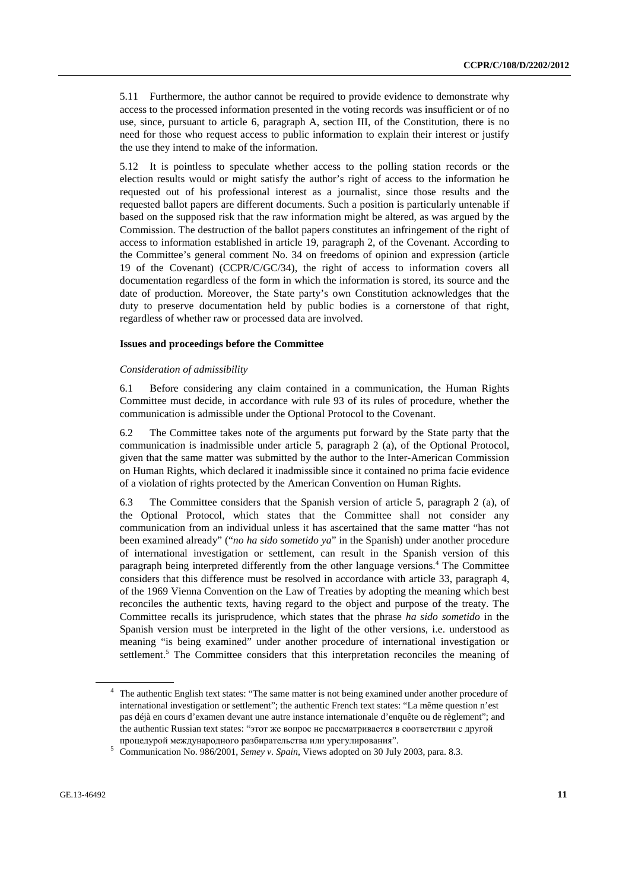5.11 Furthermore, the author cannot be required to provide evidence to demonstrate why access to the processed information presented in the voting records was insufficient or of no use, since, pursuant to article 6, paragraph A, section III, of the Constitution, there is no need for those who request access to public information to explain their interest or justify the use they intend to make of the information.

5.12 It is pointless to speculate whether access to the polling station records or the election results would or might satisfy the author's right of access to the information he requested out of his professional interest as a journalist, since those results and the requested ballot papers are different documents. Such a position is particularly untenable if based on the supposed risk that the raw information might be altered, as was argued by the Commission. The destruction of the ballot papers constitutes an infringement of the right of access to information established in article 19, paragraph 2, of the Covenant. According to the Committee's general comment No. 34 on freedoms of opinion and expression (article 19 of the Covenant) (CCPR/C/GC/34), the right of access to information covers all documentation regardless of the form in which the information is stored, its source and the date of production. Moreover, the State party's own Constitution acknowledges that the duty to preserve documentation held by public bodies is a cornerstone of that right, regardless of whether raw or processed data are involved.

#### **Issues and proceedings before the Committee**

#### *Consideration of admissibility*

6.1 Before considering any claim contained in a communication, the Human Rights Committee must decide, in accordance with rule 93 of its rules of procedure, whether the communication is admissible under the Optional Protocol to the Covenant.

6.2 The Committee takes note of the arguments put forward by the State party that the communication is inadmissible under article 5, paragraph 2 (a), of the Optional Protocol, given that the same matter was submitted by the author to the Inter-American Commission on Human Rights, which declared it inadmissible since it contained no prima facie evidence of a violation of rights protected by the American Convention on Human Rights.

6.3 The Committee considers that the Spanish version of article 5, paragraph 2 (a), of the Optional Protocol, which states that the Committee shall not consider any communication from an individual unless it has ascertained that the same matter "has not been examined already" ("*no ha sido sometido ya*" in the Spanish) under another procedure of international investigation or settlement, can result in the Spanish version of this paragraph being interpreted differently from the other language versions.<sup>4</sup> The Committee considers that this difference must be resolved in accordance with article 33, paragraph 4, of the 1969 Vienna Convention on the Law of Treaties by adopting the meaning which best reconciles the authentic texts, having regard to the object and purpose of the treaty. The Committee recalls its jurisprudence, which states that the phrase *ha sido sometido* in the Spanish version must be interpreted in the light of the other versions, i.e. understood as meaning "is being examined" under another procedure of international investigation or settlement.<sup>5</sup> The Committee considers that this interpretation reconciles the meaning of

<sup>&</sup>lt;sup>4</sup> The authentic English text states: "The same matter is not being examined under another procedure of international investigation or settlement"; the authentic French text states: "La même question n'est pas déjà en cours d'examen devant une autre instance internationale d'enquête ou de règlement"; and the authentic Russian text states: "этот же вопрос не рассматривается в соответствии с другой процедурой международного разбирательства или урегулирования".<br>5 Communication No. 986/2001, Samav v. Spain, Views adopted on 30 July

Communication No. 986/2001, *Semey v. Spain*, Views adopted on 30 July 2003, para. 8.3.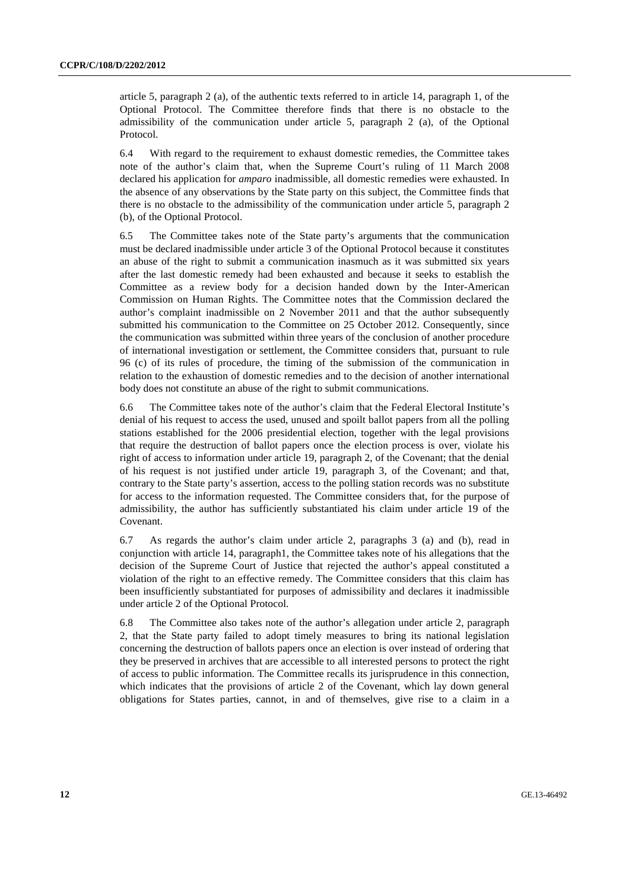article 5, paragraph 2 (a), of the authentic texts referred to in article 14, paragraph 1, of the Optional Protocol. The Committee therefore finds that there is no obstacle to the admissibility of the communication under article 5, paragraph 2 (a), of the Optional Protocol.

6.4 With regard to the requirement to exhaust domestic remedies, the Committee takes note of the author's claim that, when the Supreme Court's ruling of 11 March 2008 declared his application for *amparo* inadmissible, all domestic remedies were exhausted. In the absence of any observations by the State party on this subject, the Committee finds that there is no obstacle to the admissibility of the communication under article 5, paragraph 2 (b), of the Optional Protocol.

6.5 The Committee takes note of the State party's arguments that the communication must be declared inadmissible under article 3 of the Optional Protocol because it constitutes an abuse of the right to submit a communication inasmuch as it was submitted six years after the last domestic remedy had been exhausted and because it seeks to establish the Committee as a review body for a decision handed down by the Inter-American Commission on Human Rights. The Committee notes that the Commission declared the author's complaint inadmissible on 2 November 2011 and that the author subsequently submitted his communication to the Committee on 25 October 2012. Consequently, since the communication was submitted within three years of the conclusion of another procedure of international investigation or settlement, the Committee considers that, pursuant to rule 96 (c) of its rules of procedure, the timing of the submission of the communication in relation to the exhaustion of domestic remedies and to the decision of another international body does not constitute an abuse of the right to submit communications.

6.6 The Committee takes note of the author's claim that the Federal Electoral Institute's denial of his request to access the used, unused and spoilt ballot papers from all the polling stations established for the 2006 presidential election, together with the legal provisions that require the destruction of ballot papers once the election process is over, violate his right of access to information under article 19, paragraph 2, of the Covenant; that the denial of his request is not justified under article 19, paragraph 3, of the Covenant; and that, contrary to the State party's assertion, access to the polling station records was no substitute for access to the information requested. The Committee considers that, for the purpose of admissibility, the author has sufficiently substantiated his claim under article 19 of the Covenant.

6.7 As regards the author's claim under article 2, paragraphs 3 (a) and (b), read in conjunction with article 14, paragraph1, the Committee takes note of his allegations that the decision of the Supreme Court of Justice that rejected the author's appeal constituted a violation of the right to an effective remedy. The Committee considers that this claim has been insufficiently substantiated for purposes of admissibility and declares it inadmissible under article 2 of the Optional Protocol.

6.8 The Committee also takes note of the author's allegation under article 2, paragraph 2, that the State party failed to adopt timely measures to bring its national legislation concerning the destruction of ballots papers once an election is over instead of ordering that they be preserved in archives that are accessible to all interested persons to protect the right of access to public information. The Committee recalls its jurisprudence in this connection, which indicates that the provisions of article 2 of the Covenant, which lay down general obligations for States parties, cannot, in and of themselves, give rise to a claim in a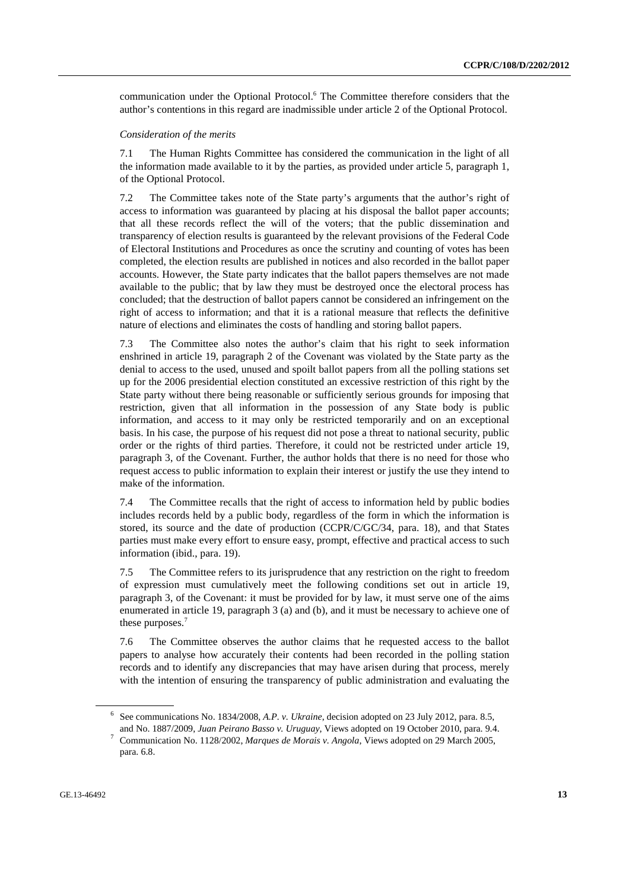communication under the Optional Protocol.<sup>6</sup> The Committee therefore considers that the author's contentions in this regard are inadmissible under article 2 of the Optional Protocol.

#### *Consideration of the merits*

7.1 The Human Rights Committee has considered the communication in the light of all the information made available to it by the parties, as provided under article 5, paragraph 1, of the Optional Protocol.

7.2 The Committee takes note of the State party's arguments that the author's right of access to information was guaranteed by placing at his disposal the ballot paper accounts; that all these records reflect the will of the voters; that the public dissemination and transparency of election results is guaranteed by the relevant provisions of the Federal Code of Electoral Institutions and Procedures as once the scrutiny and counting of votes has been completed, the election results are published in notices and also recorded in the ballot paper accounts. However, the State party indicates that the ballot papers themselves are not made available to the public; that by law they must be destroyed once the electoral process has concluded; that the destruction of ballot papers cannot be considered an infringement on the right of access to information; and that it is a rational measure that reflects the definitive nature of elections and eliminates the costs of handling and storing ballot papers.

7.3 The Committee also notes the author's claim that his right to seek information enshrined in article 19, paragraph 2 of the Covenant was violated by the State party as the denial to access to the used, unused and spoilt ballot papers from all the polling stations set up for the 2006 presidential election constituted an excessive restriction of this right by the State party without there being reasonable or sufficiently serious grounds for imposing that restriction, given that all information in the possession of any State body is public information, and access to it may only be restricted temporarily and on an exceptional basis. In his case, the purpose of his request did not pose a threat to national security, public order or the rights of third parties. Therefore, it could not be restricted under article 19, paragraph 3, of the Covenant. Further, the author holds that there is no need for those who request access to public information to explain their interest or justify the use they intend to make of the information.

7.4 The Committee recalls that the right of access to information held by public bodies includes records held by a public body, regardless of the form in which the information is stored, its source and the date of production (CCPR/C/GC/34, para. 18), and that States parties must make every effort to ensure easy, prompt, effective and practical access to such information (ibid., para. 19).

7.5 The Committee refers to its jurisprudence that any restriction on the right to freedom of expression must cumulatively meet the following conditions set out in article 19, paragraph 3, of the Covenant: it must be provided for by law, it must serve one of the aims enumerated in article 19, paragraph 3 (a) and (b), and it must be necessary to achieve one of these purposes.<sup>7</sup>

7.6 The Committee observes the author claims that he requested access to the ballot papers to analyse how accurately their contents had been recorded in the polling station records and to identify any discrepancies that may have arisen during that process, merely with the intention of ensuring the transparency of public administration and evaluating the

<sup>6</sup> See communications No. 1834/2008, *A.P. v. Ukraine*, decision adopted on 23 July 2012, para. 8.5, and No. 1887/2009, *Juan Peirano Basso v. Uruguay*, Views adopted on 19 October 2010, para. 9.4. 7

Communication No. 1128/2002, *Marques de Morais v. Angola*, Views adopted on 29 March 2005, para. 6.8.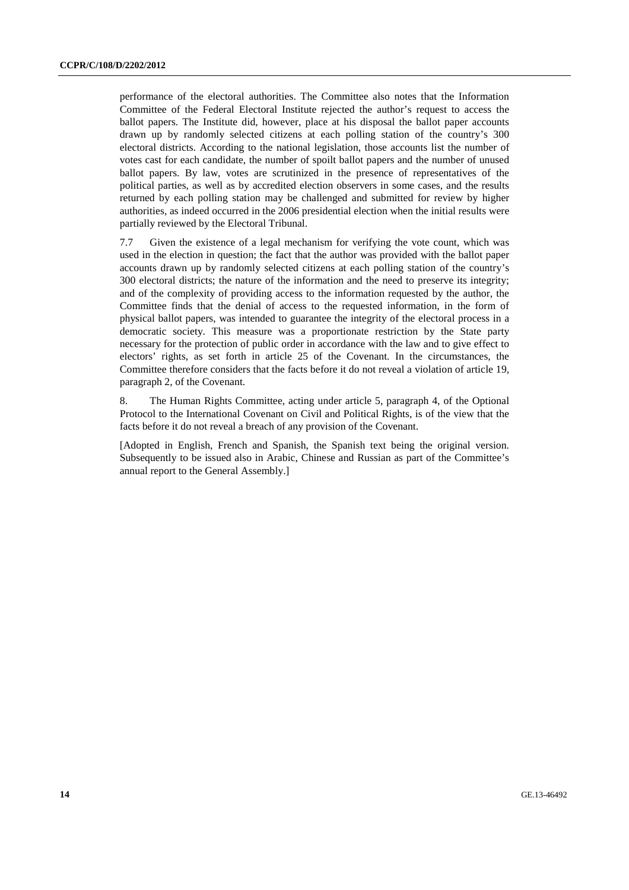performance of the electoral authorities. The Committee also notes that the Information Committee of the Federal Electoral Institute rejected the author's request to access the ballot papers. The Institute did, however, place at his disposal the ballot paper accounts drawn up by randomly selected citizens at each polling station of the country's 300 electoral districts. According to the national legislation, those accounts list the number of votes cast for each candidate, the number of spoilt ballot papers and the number of unused ballot papers. By law, votes are scrutinized in the presence of representatives of the political parties, as well as by accredited election observers in some cases, and the results returned by each polling station may be challenged and submitted for review by higher authorities, as indeed occurred in the 2006 presidential election when the initial results were partially reviewed by the Electoral Tribunal.

7.7 Given the existence of a legal mechanism for verifying the vote count, which was used in the election in question; the fact that the author was provided with the ballot paper accounts drawn up by randomly selected citizens at each polling station of the country's 300 electoral districts; the nature of the information and the need to preserve its integrity; and of the complexity of providing access to the information requested by the author, the Committee finds that the denial of access to the requested information, in the form of physical ballot papers, was intended to guarantee the integrity of the electoral process in a democratic society. This measure was a proportionate restriction by the State party necessary for the protection of public order in accordance with the law and to give effect to electors' rights, as set forth in article 25 of the Covenant. In the circumstances, the Committee therefore considers that the facts before it do not reveal a violation of article 19, paragraph 2, of the Covenant.

8. The Human Rights Committee, acting under article 5, paragraph 4, of the Optional Protocol to the International Covenant on Civil and Political Rights, is of the view that the facts before it do not reveal a breach of any provision of the Covenant.

[Adopted in English, French and Spanish, the Spanish text being the original version. Subsequently to be issued also in Arabic, Chinese and Russian as part of the Committee's annual report to the General Assembly.]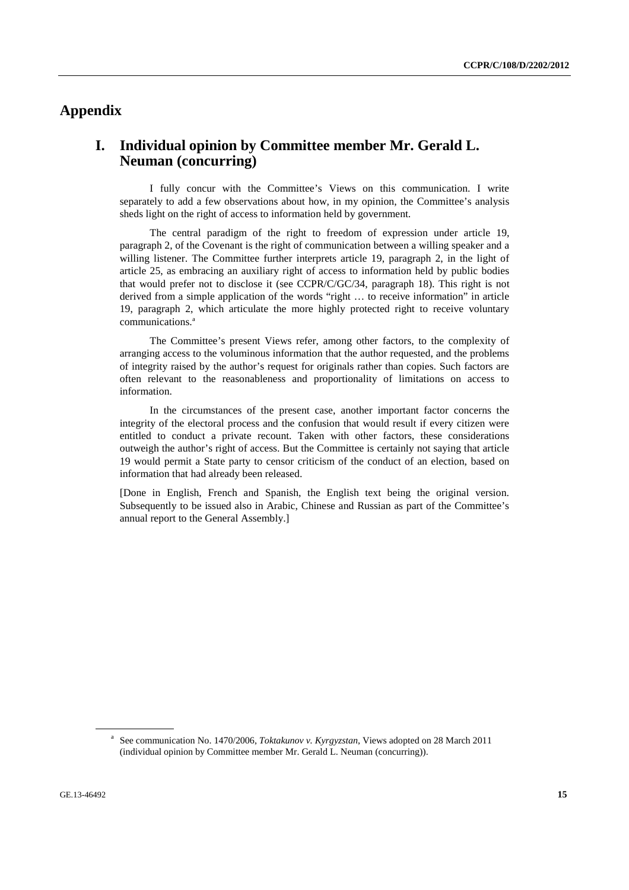# **Appendix**

# **I. Individual opinion by Committee member Mr. Gerald L. Neuman (concurring)**

 I fully concur with the Committee's Views on this communication. I write separately to add a few observations about how, in my opinion, the Committee's analysis sheds light on the right of access to information held by government.

 The central paradigm of the right to freedom of expression under article 19, paragraph 2, of the Covenant is the right of communication between a willing speaker and a willing listener. The Committee further interprets article 19, paragraph 2, in the light of article 25, as embracing an auxiliary right of access to information held by public bodies that would prefer not to disclose it (see CCPR/C/GC/34, paragraph 18). This right is not derived from a simple application of the words "right … to receive information" in article 19, paragraph 2, which articulate the more highly protected right to receive voluntary communications.<sup>a</sup>

 The Committee's present Views refer, among other factors, to the complexity of arranging access to the voluminous information that the author requested, and the problems of integrity raised by the author's request for originals rather than copies. Such factors are often relevant to the reasonableness and proportionality of limitations on access to information.

 In the circumstances of the present case, another important factor concerns the integrity of the electoral process and the confusion that would result if every citizen were entitled to conduct a private recount. Taken with other factors, these considerations outweigh the author's right of access. But the Committee is certainly not saying that article 19 would permit a State party to censor criticism of the conduct of an election, based on information that had already been released.

[Done in English, French and Spanish, the English text being the original version. Subsequently to be issued also in Arabic, Chinese and Russian as part of the Committee's annual report to the General Assembly.]

<sup>&</sup>lt;sup>a</sup> See communication No. 1470/2006, *Toktakunov v. Kyrgyzstan*, Views adopted on 28 March 2011 (individual opinion by Committee member Mr. Gerald L. Neuman (concurring)).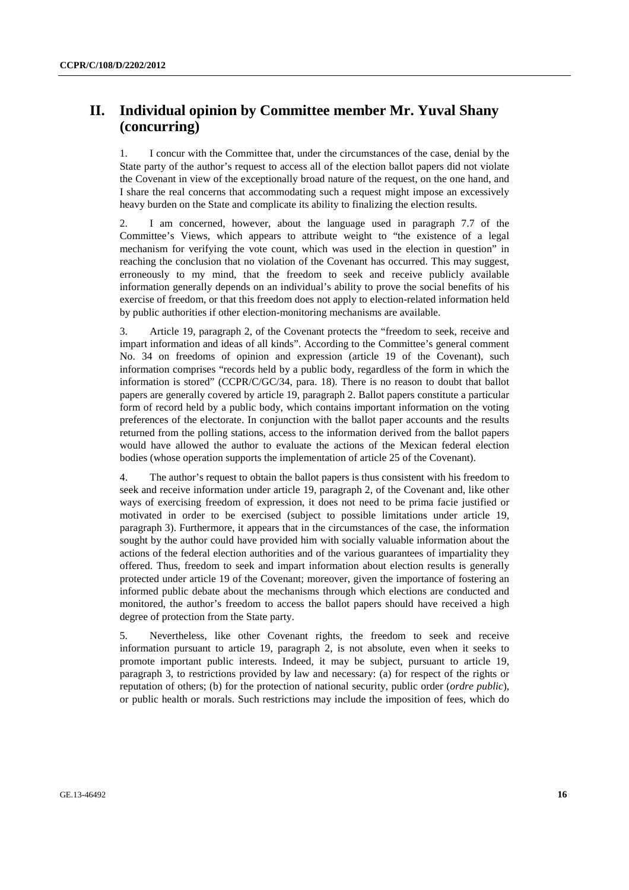# **II. Individual opinion by Committee member Mr. Yuval Shany (concurring)**

1. I concur with the Committee that, under the circumstances of the case, denial by the State party of the author's request to access all of the election ballot papers did not violate the Covenant in view of the exceptionally broad nature of the request, on the one hand, and I share the real concerns that accommodating such a request might impose an excessively heavy burden on the State and complicate its ability to finalizing the election results.

2. I am concerned, however, about the language used in paragraph 7.7 of the Committee's Views, which appears to attribute weight to "the existence of a legal mechanism for verifying the vote count, which was used in the election in question" in reaching the conclusion that no violation of the Covenant has occurred. This may suggest, erroneously to my mind, that the freedom to seek and receive publicly available information generally depends on an individual's ability to prove the social benefits of his exercise of freedom, or that this freedom does not apply to election-related information held by public authorities if other election-monitoring mechanisms are available.

3. Article 19, paragraph 2, of the Covenant protects the "freedom to seek, receive and impart information and ideas of all kinds". According to the Committee's general comment No. 34 on freedoms of opinion and expression (article 19 of the Covenant), such information comprises "records held by a public body, regardless of the form in which the information is stored" (CCPR/C/GC/34, para. 18). There is no reason to doubt that ballot papers are generally covered by article 19, paragraph 2. Ballot papers constitute a particular form of record held by a public body, which contains important information on the voting preferences of the electorate. In conjunction with the ballot paper accounts and the results returned from the polling stations, access to the information derived from the ballot papers would have allowed the author to evaluate the actions of the Mexican federal election bodies (whose operation supports the implementation of article 25 of the Covenant).

4. The author's request to obtain the ballot papers is thus consistent with his freedom to seek and receive information under article 19, paragraph 2, of the Covenant and, like other ways of exercising freedom of expression, it does not need to be prima facie justified or motivated in order to be exercised (subject to possible limitations under article 19, paragraph 3). Furthermore, it appears that in the circumstances of the case, the information sought by the author could have provided him with socially valuable information about the actions of the federal election authorities and of the various guarantees of impartiality they offered. Thus, freedom to seek and impart information about election results is generally protected under article 19 of the Covenant; moreover, given the importance of fostering an informed public debate about the mechanisms through which elections are conducted and monitored, the author's freedom to access the ballot papers should have received a high degree of protection from the State party.

5. Nevertheless, like other Covenant rights, the freedom to seek and receive information pursuant to article 19, paragraph 2, is not absolute, even when it seeks to promote important public interests. Indeed, it may be subject, pursuant to article 19, paragraph 3, to restrictions provided by law and necessary: (a) for respect of the rights or reputation of others; (b) for the protection of national security, public order (*ordre public*), or public health or morals. Such restrictions may include the imposition of fees, which do